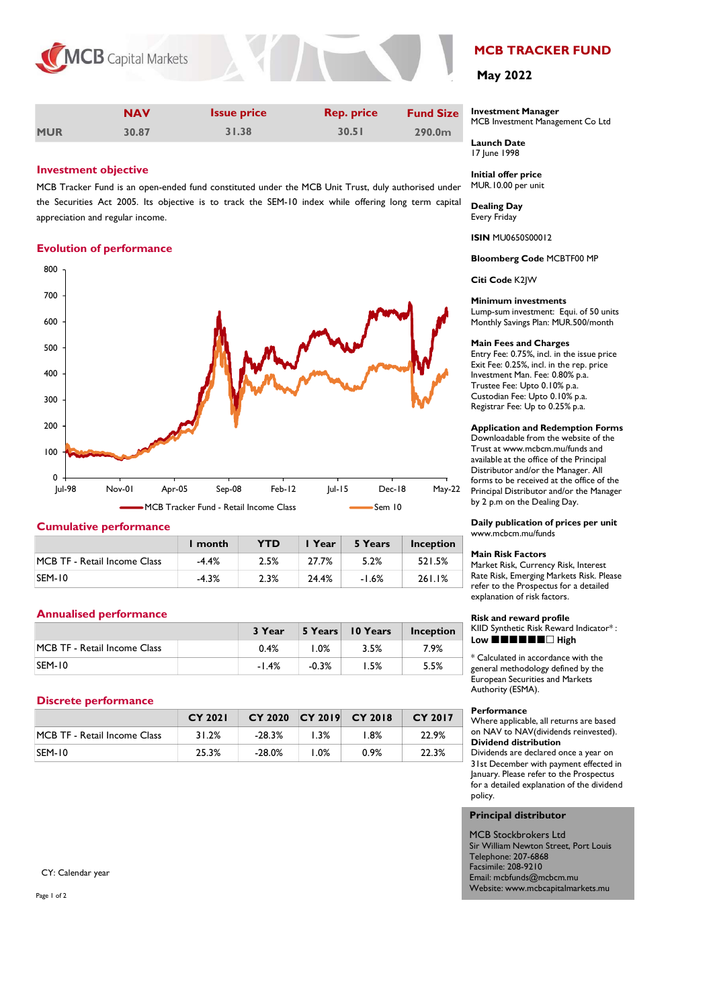



|            | <b>NAV</b> | <b>Issue price</b> | <b>Rep. price</b> | <b>Fund Size</b>   |
|------------|------------|--------------------|-------------------|--------------------|
| <b>MUR</b> | 30.87      | 31.38              | 30.51             | 290.0 <sub>m</sub> |

### Investment objective

MCB Tracker Fund is an open-ended fund constituted under the MCB Unit Trust, duly authorised under the Securities Act 2005. Its objective is to track the SEM-10 index while offering long term capital appreciation and regular income.

### Evolution of performance



### Cumulative performance

|                              | I month | <b>YTD</b> | I Year | 5 Years | <b>Inception</b> |
|------------------------------|---------|------------|--------|---------|------------------|
| MCB TF - Retail Income Class | $-4.4%$ | 2.5%       | 27.7%  | 5.2%    | 521.5%           |
| <b>SEM-10</b>                | $-4.3%$ | 2.3%       | 24.4%  | $-1.6%$ | 261.1%           |

### Annualised performance

|                              | 3 Year  |         | 5 Years 10 Years | <b>Inception</b> |
|------------------------------|---------|---------|------------------|------------------|
| MCB TF - Retail Income Class | 0.4%    | 0%. ا   | 3.5%             | 7.9%             |
| <b>SEM-10</b>                | $-1.4%$ | $-0.3%$ | '.5%             | 5.5%             |

### Discrete performance

|                              | <b>CY 2021</b> | CY 2020 CY 2019 CY 2018 |      |      | CY 2017 |
|------------------------------|----------------|-------------------------|------|------|---------|
| MCB TF - Retail Income Class | 31.2%          | $-28.3%$                | 1.3% | l.8% | 22.9%   |
| <b>SEM-10</b>                | 25.3%          | $-28.0\%$               | l.0% | 0.9% | 22.3%   |

CY: Calendar year

Page 1 of 2

# MCB TRACKER FUND

## May 2022

#### Investment Manager MCB Investment Management Co Ltd

Launch Date 17 June 1998

Initial offer price MUR.10.00 per unit

Dealing Day Every Friday

ISIN MU0650S00012

Bloomberg Code MCBTF00 MP

Citi Code K2JW

### Minimum investments

Lump-sum investment: Equi. of 50 units Monthly Savings Plan: MUR.500/month

### Main Fees and Charges

Entry Fee: 0.75%, incl. in the issue price Exit Fee: 0.25%, incl. in the rep. price Investment Man. Fee: 0.80% p.a. Trustee Fee: Upto 0.10% p.a. Custodian Fee: Upto 0.10% p.a. Registrar Fee: Up to 0.25% p.a.

#### Application and Redemption Forms

Downloadable from the website of the Trust at www.mcbcm.mu/funds and available at the office of the Principal Distributor and/or the Manager. All forms to be received at the office of the Principal Distributor and/or the Manager by 2 p.m on the Dealing Day.

Daily publication of prices per unit www.mcbcm.mu/funds

#### Main Risk Factors

Market Risk, Currency Risk, Interest Rate Risk, Emerging Markets Risk. Please refer to the Prospectus for a detailed explanation of risk factors.

#### Risk and reward profile KIID Synthetic Risk Reward Indicator\* : Low  $\blacksquare \blacksquare \blacksquare \blacksquare \blacksquare \blacksquare \blacksquare$  High

\* Calculated in accordance with the general methodology defined by the European Securities and Markets Authority (ESMA).

#### Performance

policy.

Where applicable, all returns are based on NAV to NAV(dividends reinvested). Dividend distribution Dividends are declared once a year on<br>31st December with payment effected in available at the office of the Principal<br>Distributor and/or the Manager. All<br>Oforms to be received at the office of the<br>Principal Distributor and/or the Manager<br>by 2 p.m on the Dealing Day.<br>**Daily publication of prices per** January. Please refer to the Prospectus for a detailed explanation of the dividend

### Principal distributor

MCB Stockbrokers Ltd Sir William Newton Street, Port Louis Telephone: 207-6868 Facsimile: 208-9210 Email: mcbfunds@mcbcm.mu Website: www.mcbcapitalmarkets.mu